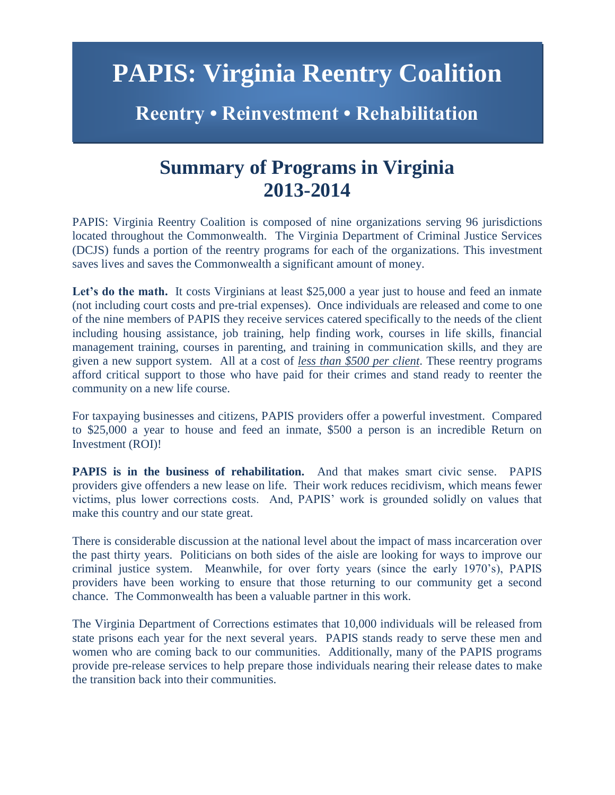# **PAPIS: Virginia Reentry Coalition**

### **Reentry • Reinvestment • Rehabilitation**

### **Summary of Programs in Virginia 2013-2014**

PAPIS: Virginia Reentry Coalition is composed of nine organizations serving 96 jurisdictions located throughout the Commonwealth. The Virginia Department of Criminal Justice Services (DCJS) funds a portion of the reentry programs for each of the organizations. This investment saves lives and saves the Commonwealth a significant amount of money.

Let's do the math. It costs Virginians at least \$25,000 a year just to house and feed an inmate (not including court costs and pre-trial expenses). Once individuals are released and come to one of the nine members of PAPIS they receive services catered specifically to the needs of the client including housing assistance, job training, help finding work, courses in life skills, financial management training, courses in parenting, and training in communication skills, and they are given a new support system. All at a cost of *less than \$500 per client*. These reentry programs afford critical support to those who have paid for their crimes and stand ready to reenter the community on a new life course.

For taxpaying businesses and citizens, PAPIS providers offer a powerful investment. Compared to \$25,000 a year to house and feed an inmate, \$500 a person is an incredible Return on Investment (ROI)!

**PAPIS is in the business of rehabilitation.** And that makes smart civic sense. PAPIS providers give offenders a new lease on life. Their work reduces recidivism, which means fewer victims, plus lower corrections costs. And, PAPIS' work is grounded solidly on values that make this country and our state great.

There is considerable discussion at the national level about the impact of mass incarceration over the past thirty years. Politicians on both sides of the aisle are looking for ways to improve our criminal justice system. Meanwhile, for over forty years (since the early 1970's), PAPIS providers have been working to ensure that those returning to our community get a second chance. The Commonwealth has been a valuable partner in this work.

The Virginia Department of Corrections estimates that 10,000 individuals will be released from state prisons each year for the next several years. PAPIS stands ready to serve these men and women who are coming back to our communities. Additionally, many of the PAPIS programs provide pre-release services to help prepare those individuals nearing their release dates to make the transition back into their communities.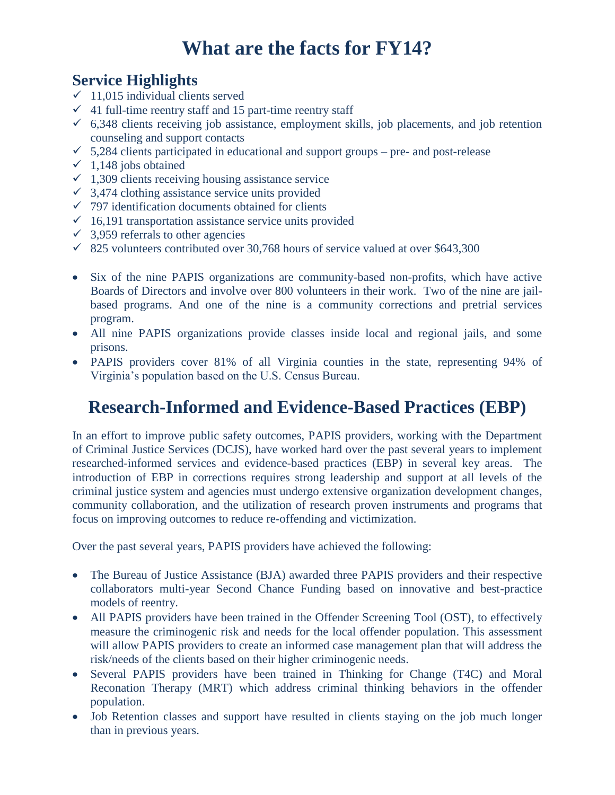## **What are the facts for FY14?**

### **Service Highlights**

- $\checkmark$  11,015 individual clients served
- $\checkmark$  41 full-time reentry staff and 15 part-time reentry staff
- $6,348$  clients receiving job assistance, employment skills, job placements, and job retention counseling and support contacts
- $\checkmark$  5,284 clients participated in educational and support groups pre- and post-release
- $\checkmark$  1,148 jobs obtained
- $\checkmark$  1,309 clients receiving housing assistance service
- $\checkmark$  3,474 clothing assistance service units provided
- $\checkmark$  797 identification documents obtained for clients
- $\checkmark$  16,191 transportation assistance service units provided
- $\checkmark$  3,959 referrals to other agencies
- $\checkmark$  825 volunteers contributed over 30,768 hours of service valued at over \$643,300
- Six of the nine PAPIS organizations are community-based non-profits, which have active Boards of Directors and involve over 800 volunteers in their work. Two of the nine are jailbased programs. And one of the nine is a community corrections and pretrial services program.
- All nine PAPIS organizations provide classes inside local and regional jails, and some prisons.
- PAPIS providers cover 81% of all Virginia counties in the state, representing 94% of Virginia's population based on the U.S. Census Bureau.

### **Research-Informed and Evidence-Based Practices (EBP)**

In an effort to improve public safety outcomes, PAPIS providers, working with the Department of Criminal Justice Services (DCJS), have worked hard over the past several years to implement researched-informed services and evidence-based practices (EBP) in several key areas. The introduction of EBP in corrections requires strong leadership and support at all levels of the criminal justice system and agencies must undergo extensive organization development changes, community collaboration, and the utilization of research proven instruments and programs that focus on improving outcomes to reduce re-offending and victimization.

Over the past several years, PAPIS providers have achieved the following:

- The Bureau of Justice Assistance (BJA) awarded three PAPIS providers and their respective collaborators multi-year Second Chance Funding based on innovative and best-practice models of reentry.
- All PAPIS providers have been trained in the Offender Screening Tool (OST), to effectively measure the criminogenic risk and needs for the local offender population. This assessment will allow PAPIS providers to create an informed case management plan that will address the risk/needs of the clients based on their higher criminogenic needs.
- Several PAPIS providers have been trained in Thinking for Change (T4C) and Moral Reconation Therapy (MRT) which address criminal thinking behaviors in the offender population.
- Job Retention classes and support have resulted in clients staying on the job much longer than in previous years.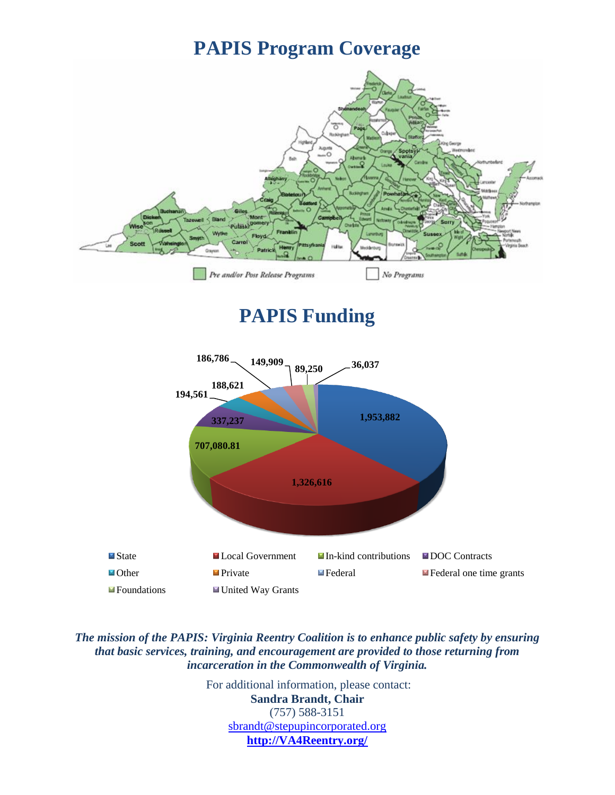### **PAPIS Program Coverage**



### **PAPIS Funding**



*The mission of the PAPIS: Virginia Reentry Coalition is to enhance public safety by ensuring that basic services, training, and encouragement are provided to those returning from incarceration in the Commonwealth of Virginia.* 

> For additional information, please contact: **Sandra Brandt, Chair** (757) 588-3151 [sbrandt@stepupincorporated.org](mailto:sbrandt@stepupincorporated.org) **[http://VA4Reentry.org/](http://va4reentry.org/)**